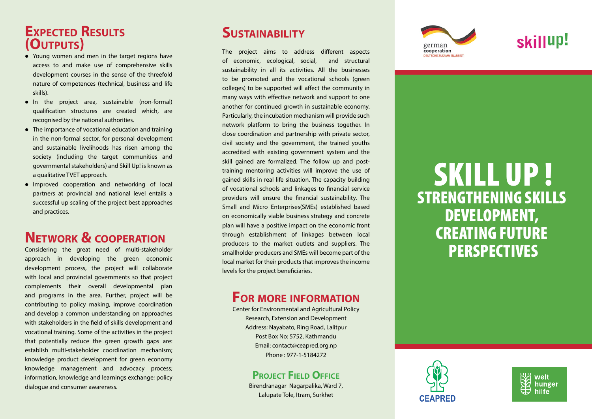## **Expected Results (Outputs)**

- Young women and men in the target regions have access to and make use of comprehensive skills development courses in the sense of the threefold nature of competences (technical, business and life skills).
- $\bullet$  In the project area, sustainable (non-formal) qualification structures are created which, are recognised by the national authorities.
- $\bullet$  The importance of vocational education and training in the non-formal sector, for personal development and sustainable livelihoods has risen among the society (including the target communities and governmental stakeholders) and Skill Up! is known as a qualitative TVET approach.
- Improved cooperation and networking of local partners at provincial and national level entails a successful up scaling of the project best approaches and practices.

# **Network & cooperation**

Considering the great need of multi-stakeholder approach in developing the green economic development process, the project will collaborate with local and provincial governments so that project complements their overall developmental plan and programs in the area. Further, project will be contributing to policy making, improve coordination and develop a common understanding on approaches with stakeholders in the field of skills development and vocational training. Some of the activities in the project that potentially reduce the green growth gaps are: establish multi-stakeholder coordination mechanism; knowledge product development for green economy knowledge management and advocacy process; information, knowledge and learnings exchange; policy dialogue and consumer awareness.

## **SUSTAINABILITY**

The project aims to address different aspects of economic, ecological, social, and structural sustainability in all its activities. All the businesses to be promoted and the vocational schools (green colleges) to be supported will affect the community in many ways with effective network and support to one another for continued growth in sustainable economy. Particularly, the incubation mechanism will provide such network platform to bring the business together. In close coordination and partnership with private sector, civil society and the government, the trained youths accredited with existing government system and the skill gained are formalized. The follow up and posttraining mentoring activities will improve the use of gained skills in real life situation. The capacity building of vocational schools and linkages to financial service providers will ensure the financial sustainability. The Small and Micro Enterprises(SMEs) established based on economically viable business strategy and concrete plan will have a positive impact on the economic front through establishment of linkages between local producers to the market outlets and suppliers. The smallholder producers and SMEs will become part of the local market for their products that improves the income levels for the project beneficiaries.

### **For more information**

Center for Environmental and Agricultural Policy Research, Extension and Development Address: Nayabato, Ring Road, Lalitpur Post Box No: 5752, Kathmandu Email: contact@ceapred.org.np Phone : 977-1-5184272

#### **PROJECT FIELD OFFICE**

Birendranagar Nagarpalika, Ward 7, Lalupate Tole, Itram, Surkhet



# skillup!

welt hunger

# SKILL UP ! STRENGTHENING SKILLS DEVELOPMENT, CREATING FUTURE PERSPECTIVES